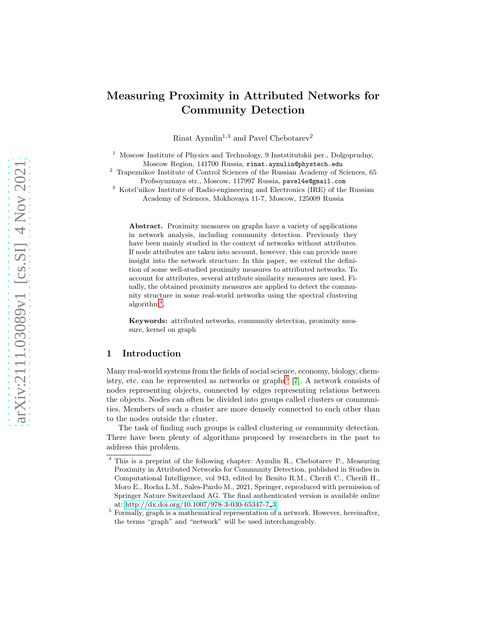# Measuring Proximity in Attributed Networks for Community Detection

Rinat Aynulin<sup>1,3</sup> and Pavel Chebotarev<sup>2</sup>

<sup>1</sup> Moscow Institute of Physics and Technology, 9 Inststitutskii per., Dolgoprudny, Moscow Region, 141700 Russia, rinat.aynulin@phystech.edu

 $^2$  Trapeznikov Institute of Control Sciences of the Russian Academy of Sciences,  $65$ Profsoyuznaya str., Moscow, 117997 Russia, pavel4e@gmail.com

<sup>3</sup> Kotel'nikov Institute of Radio-engineering and Electronics (IRE) of the Russian Academy of Sciences, Mokhovaya 11-7, Moscow, 125009 Russia

Abstract. Proximity measures on graphs have a variety of applications in network analysis, including community detection. Previously they have been mainly studied in the context of networks without attributes. If node attributes are taken into account, however, this can provide more insight into the network structure. In this paper, we extend the definition of some well-studied proximity measures to attributed networks. To account for attributes, several attribute similarity measures are used. Finally, the obtained proximity measures are applied to detect the community structure in some real-world networks using the spectral clustering  $algorithm<sup>4</sup>$  $algorithm<sup>4</sup>$  $algorithm<sup>4</sup>$ .

Keywords: attributed networks, community detection, proximity measure, kernel on graph

# 1 Introduction

Many real-world systems from the fields of social science, economy, biology, chem-istry, etc. can be represented as networks or graphs<sup>[5](#page-0-1)</sup> [\[7\]](#page-9-0). A network consists of nodes representing objects, connected by edges representing relations between the objects. Nodes can often be divided into groups called clusters or communities. Members of such a cluster are more densely connected to each other than to the nodes outside the cluster.

The task of finding such groups is called clustering or community detection. There have been plenty of algorithms proposed by researchers in the past to address this problem.

<span id="page-0-0"></span><sup>&</sup>lt;sup>4</sup> This is a preprint of the following chapter: Aynulin R., Chebotarev P., Measuring Proximity in Attributed Networks for Community Detection, published in Studies in Computational Intelligence, vol 943, edited by Benito R.M., Cherifi C., Cherifi H., Moro E., Rocha L.M., Sales-Pardo M., 2021, Springer, reproduced with permission of Springer Nature Switzerland AG. The final authenticated version is available online at: [http://dx.doi.org/10.1007/978-3-030-65347-7](http://dx.doi.org/10.1007/978-3-030-65347-7_3) 3

<span id="page-0-1"></span> $^5$  Formally, graph is a mathematical representation of a network. However, hereinafter, the terms "graph" and "network" will be used interchangeably.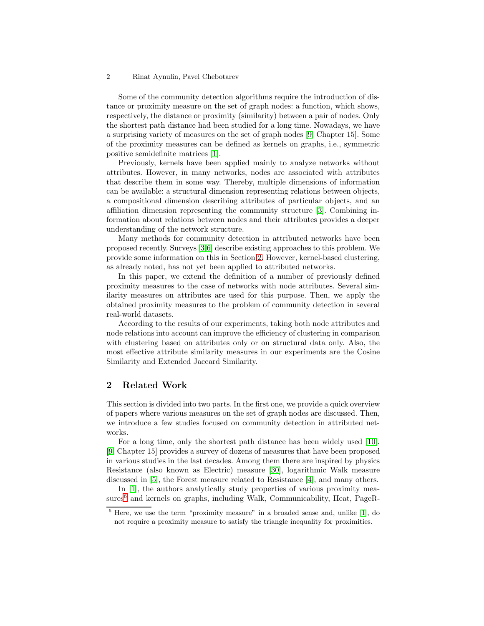Some of the community detection algorithms require the introduction of distance or proximity measure on the set of graph nodes: a function, which shows, respectively, the distance or proximity (similarity) between a pair of nodes. Only the shortest path distance had been studied for a long time. Nowadays, we have a surprising variety of measures on the set of graph nodes [\[9,](#page-9-1) Chapter 15]. Some of the proximity measures can be defined as kernels on graphs, i.e., symmetric positive semidefinite matrices [\[1\]](#page-9-2).

Previously, kernels have been applied mainly to analyze networks without attributes. However, in many networks, nodes are associated with attributes that describe them in some way. Thereby, multiple dimensions of information can be available: a structural dimension representing relations between objects, a compositional dimension describing attributes of particular objects, and an affiliation dimension representing the community structure [\[3\]](#page-9-3). Combining information about relations between nodes and their attributes provides a deeper understanding of the network structure.

Many methods for community detection in attributed networks have been proposed recently. Surveys [\[3,](#page-9-3)[6\]](#page-9-4) describe existing approaches to this problem. We provide some information on this in Section [2.](#page-1-0) However, kernel-based clustering, as already noted, has not yet been applied to attributed networks.

In this paper, we extend the definition of a number of previously defined proximity measures to the case of networks with node attributes. Several similarity measures on attributes are used for this purpose. Then, we apply the obtained proximity measures to the problem of community detection in several real-world datasets.

According to the results of our experiments, taking both node attributes and node relations into account can improve the efficiency of clustering in comparison with clustering based on attributes only or on structural data only. Also, the most effective attribute similarity measures in our experiments are the Cosine Similarity and Extended Jaccard Similarity.

# <span id="page-1-0"></span>2 Related Work

This section is divided into two parts. In the first one, we provide a quick overview of papers where various measures on the set of graph nodes are discussed. Then, we introduce a few studies focused on community detection in attributed networks.

For a long time, only the shortest path distance has been widely used [\[10\]](#page-9-5). [\[9,](#page-9-1) Chapter 15] provides a survey of dozens of measures that have been proposed in various studies in the last decades. Among them there are inspired by physics Resistance (also known as Electric) measure [\[30\]](#page-10-0), logarithmic Walk measure discussed in [\[5\]](#page-9-6), the Forest measure related to Resistance [\[4\]](#page-9-7), and many others.

In [\[1\]](#page-9-2), the authors analytically study properties of various proximity mea-sures<sup>[6](#page-1-1)</sup> and kernels on graphs, including Walk, Communicability, Heat, PageR-

<span id="page-1-1"></span> $6$  Here, we use the term "proximity measure" in a broaded sense and, unlike [\[1\]](#page-9-2), do not require a proximity measure to satisfy the triangle inequality for proximities.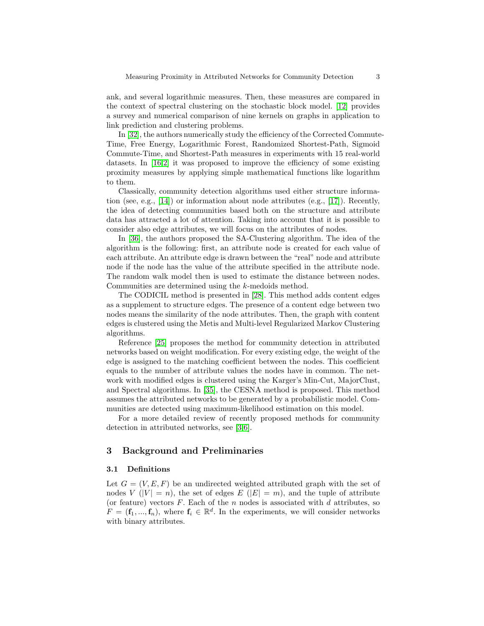ank, and several logarithmic measures. Then, these measures are compared in the context of spectral clustering on the stochastic block model. [\[12\]](#page-9-8) provides a survey and numerical comparison of nine kernels on graphs in application to link prediction and clustering problems.

In [\[32\]](#page-10-1), the authors numerically study the efficiency of the Corrected Commute-Time, Free Energy, Logarithmic Forest, Randomized Shortest-Path, Sigmoid Commute-Time, and Shortest-Path measures in experiments with 15 real-world datasets. In [\[16,](#page-10-2)[2\]](#page-9-9) it was proposed to improve the efficiency of some existing proximity measures by applying simple mathematical functions like logarithm to them.

Classically, community detection algorithms used either structure informa-tion (see, e.g., [\[14\]](#page-10-3)) or information about node attributes (e.g., [\[17\]](#page-10-4)). Recently, the idea of detecting communities based both on the structure and attribute data has attracted a lot of attention. Taking into account that it is possible to consider also edge attributes, we will focus on the attributes of nodes.

In [\[36\]](#page-11-0), the authors proposed the SA-Clustering algorithm. The idea of the algorithm is the following: first, an attribute node is created for each value of each attribute. An attribute edge is drawn between the "real" node and attribute node if the node has the value of the attribute specified in the attribute node. The random walk model then is used to estimate the distance between nodes. Communities are determined using the k-medoids method.

The CODICIL method is presented in [\[28\]](#page-10-5). This method adds content edges as a supplement to structure edges. The presence of a content edge between two nodes means the similarity of the node attributes. Then, the graph with content edges is clustered using the Metis and Multi-level Regularized Markov Clustering algorithms.

Reference [\[25\]](#page-10-6) proposes the method for community detection in attributed networks based on weight modification. For every existing edge, the weight of the edge is assigned to the matching coefficient between the nodes. This coefficient equals to the number of attribute values the nodes have in common. The network with modified edges is clustered using the Karger's Min-Cut, MajorClust, and Spectral algorithms. In [\[35\]](#page-11-1), the CESNA method is proposed. This method assumes the attributed networks to be generated by a probabilistic model. Communities are detected using maximum-likelihood estimation on this model.

For a more detailed review of recently proposed methods for community detection in attributed networks, see [\[3](#page-9-3)[,6\]](#page-9-4).

# 3 Background and Preliminaries

## 3.1 Definitions

Let  $G = (V, E, F)$  be an undirected weighted attributed graph with the set of nodes V ( $|V| = n$ ), the set of edges E ( $|E| = m$ ), and the tuple of attribute (or feature) vectors  $F$ . Each of the  $n$  nodes is associated with  $d$  attributes, so  $F = (\mathbf{f}_1, ..., \mathbf{f}_n)$ , where  $\mathbf{f}_i \in \mathbb{R}^d$ . In the experiments, we will consider networks with binary attributes.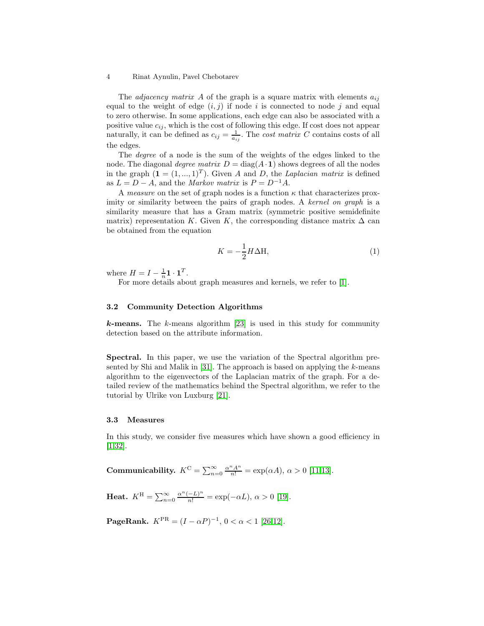The *adjacency matrix* A of the graph is a square matrix with elements  $a_{ij}$ equal to the weight of edge  $(i, j)$  if node i is connected to node j and equal to zero otherwise. In some applications, each edge can also be associated with a positive value  $c_{ij}$ , which is the cost of following this edge. If cost does not appear naturally, it can be defined as  $c_{ij} = \frac{1}{a_{ij}}$ . The *cost matrix C* contains costs of all the edges.

The degree of a node is the sum of the weights of the edges linked to the node. The diagonal *degree matrix*  $D = \text{diag}(A \cdot \mathbf{1})$  shows degrees of all the nodes in the graph  $(\mathbf{1} = (1, ..., 1)^T)$ . Given A and D, the Laplacian matrix is defined as  $L = D - A$ , and the *Markov matrix* is  $P = D^{-1}A$ .

A measure on the set of graph nodes is a function  $\kappa$  that characterizes proximity or similarity between the pairs of graph nodes. A kernel on graph is a similarity measure that has a Gram matrix (symmetric positive semidefinite matrix) representation K. Given K, the corresponding distance matrix  $\Delta$  can be obtained from the equation

<span id="page-3-0"></span>
$$
K = -\frac{1}{2}H\Delta H,\tag{1}
$$

where  $H = I - \frac{1}{n} \mathbf{1} \cdot \mathbf{1}^T$ .

For more details about graph measures and kernels, we refer to [\[1\]](#page-9-2).

## 3.2 Community Detection Algorithms

**k-means.** The k-means algorithm [\[23\]](#page-10-7) is used in this study for community detection based on the attribute information.

Spectral. In this paper, we use the variation of the Spectral algorithm pre-sented by Shi and Malik in [\[31\]](#page-10-8). The approach is based on applying the  $k$ -means algorithm to the eigenvectors of the Laplacian matrix of the graph. For a detailed review of the mathematics behind the Spectral algorithm, we refer to the tutorial by Ulrike von Luxburg [\[21\]](#page-10-9).

#### <span id="page-3-1"></span>3.3 Measures

In this study, we consider five measures which have shown a good efficiency in [\[1,](#page-9-2)[32\]](#page-10-1).

**Communicability.**  $K^{\text{C}} = \sum_{n=0}^{\infty} \frac{\alpha^n A^n}{n!} = \exp(\alpha A), \alpha > 0$  [\[11,](#page-9-10)[13\]](#page-9-11).

**Heat.**  $K^{H} = \sum_{n=0}^{\infty} \frac{\alpha^{n} (-L)^{n}}{n!} = \exp(-\alpha L), \ \alpha > 0$  [\[19\]](#page-10-10).

**PageRank.**  $K^{\text{PR}} = (I - \alpha P)^{-1}$ ,  $0 < \alpha < 1$  [\[26](#page-10-11)[,12\]](#page-9-8).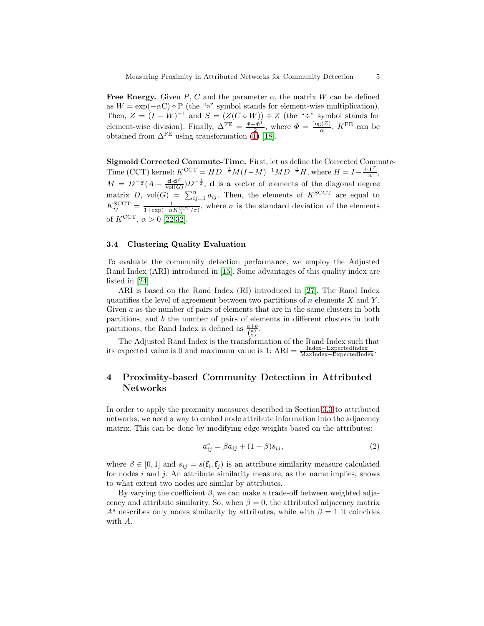**Free Energy.** Given P, C and the parameter  $\alpha$ , the matrix W can be defined as  $W = \exp(-\alpha C) \circ P$  (the "∘" symbol stands for element-wise multiplication). Then,  $Z = (I - W)^{-1}$  and  $S = (Z(C \circ W)) \div Z$  (the " $\div$ " symbol stands for element-wise division). Finally,  $\Delta^{\text{FE}} = \frac{\Phi + \Phi^T}{2}$  $\frac{\Phi}{2}^{\Phi}$ , where  $\Phi = \frac{\log(Z)}{\alpha}$  $\frac{g(Z)}{\alpha}$ . K<sup>FE</sup> can be obtained from  $\Delta^{\text{FE}}$  using transformation [\(1\)](#page-3-0) [\[18\]](#page-10-12).

Sigmoid Corrected Commute-Time. First, let us define the Corrected Commute-Time (CCT) kernel:  $K^{\text{CCT}} = HD^{-\frac{1}{2}}M(I-M)^{-1}MD^{-\frac{1}{2}}H$ , where  $H = I - \frac{1 \cdot 1^T}{n}$  $\frac{1}{n}$ ,  $M = D^{-\frac{1}{2}} (A - \frac{\mathbf{d} \cdot \mathbf{d}^T}{\text{vol}(G)})$  $\frac{\mathbf{d} \cdot \mathbf{d}^T}{\text{vol}(G)}$ ) $D^{-\frac{1}{2}}$ , **d** is a vector of elements of the diagonal degree matrix D, vol $(G) = \sum_{ij=1}^{n} a_{ij}$ . Then, the elements of  $K^{\text{SCCT}}$  are equal to  $K_{ij}^{\text{SCCT}} = \frac{1}{1+\exp(-\alpha K_{ij}^{\text{CCT}}/\sigma)},$  where  $\sigma$  is the standard deviation of the elements of  $K^{\text{CCT}}$ ,  $\alpha > 0$  [\[22,](#page-10-13)[32\]](#page-10-1).

#### 3.4 Clustering Quality Evaluation

To evaluate the community detection performance, we employ the Adjusted Rand Index (ARI) introduced in [\[15\]](#page-10-14). Some advantages of this quality index are listed in [\[24\]](#page-10-15).

ARI is based on the Rand Index (RI) introduced in [\[27\]](#page-10-16). The Rand Index quantifies the level of agreement between two partitions of n elements  $X$  and  $Y$ . Given a as the number of pairs of elements that are in the same clusters in both partitions, and b the number of pairs of elements in different clusters in both partitions, the Rand Index is defined as  $\frac{a+b}{\binom{n}{2}}$ .

The Adjusted Rand Index is the transformation of the Rand Index such that its expected value is 0 and maximum value is 1: ARI =  $\frac{\text{Index}-\text{ExpectedIndex}}{\text{MaxIndex}-\text{ExpectedIndex}}$ .

# 4 Proximity-based Community Detection in Attributed Networks

In order to apply the proximity measures described in Section [3.3](#page-3-1) to attributed networks, we need a way to embed node attribute information into the adjacency matrix. This can be done by modifying edge weights based on the attributes:

<span id="page-4-0"></span>
$$
a_{ij}^s = \beta a_{ij} + (1 - \beta)s_{ij},\tag{2}
$$

where  $\beta \in [0,1]$  and  $s_{ij} = s(\mathbf{f}_i, \mathbf{f}_j)$  is an attribute similarity measure calculated for nodes  $i$  and  $j$ . An attribute similarity measure, as the name implies, shows to what extent two nodes are similar by attributes.

By varying the coefficient  $\beta$ , we can make a trade-off between weighted adjacency and attribute similarity. So, when  $\beta = 0$ , the attributed adjacency matrix  $A<sup>s</sup>$  describes only nodes similarity by attributes, while with  $\beta = 1$  it coincides with A.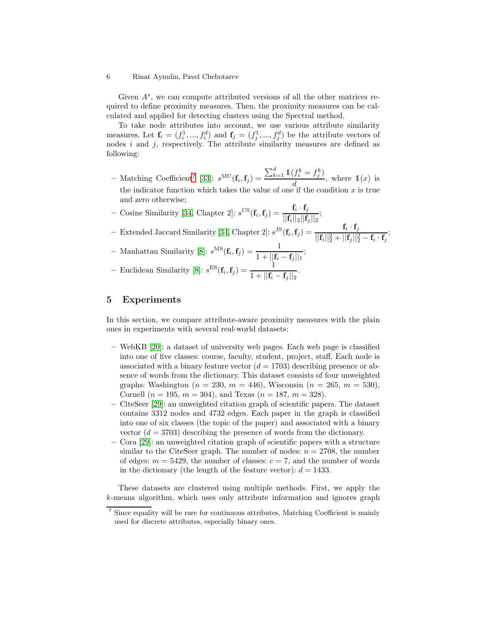Given  $A^s$ , we can compute attributed versions of all the other matrices required to define proximity measures. Then, the proximity measures can be calculated and applied for detecting clusters using the Spectral method.

To take node attributes into account, we use various attribute similarity measures. Let  $\mathbf{f}_i = (f_i^1, ..., f_i^d)$  and  $\mathbf{f}_j = (f_j^1, ..., f_j^d)$  be the attribute vectors of nodes  $i$  and  $j$ , respectively. The attribute similarity measures are defined as following:

- Matching Coefficient<sup>[7](#page-5-0)</sup> [\[33\]](#page-10-17):  $s^{\text{MC}}(\mathbf{f}_i, \mathbf{f}_j)$  =  $\sum_{k=1}^d \mathbb{1}(f_i^k = f_j^k)$  $\frac{d}{dx}$ , where  $\mathbb{1}(x)$  is the indicator function which takes the value of one if the condition x is true and zero otherwise;
- Cosine Similarity [\[34,](#page-11-2) Chapter 2]:  $s^{CS}(\mathbf{f}_i, \mathbf{f}_j) = \frac{\mathbf{f}_i \cdot \mathbf{f}_j}{\|\mathbf{f}_i\| \|\mathbf{f}_j}$  $\frac{1}{||{\bf f}_i||_2||{\bf f}_j||_2};$
- Extended Jaccard Similarity [\[34,](#page-11-2) Chapter 2]:  $s^{JS}(\mathbf{f}_i, \mathbf{f}_j) = \frac{\mathbf{f}_i \cdot \mathbf{f}_j}{||\mathbf{f}_i||_2^2 + ||\mathbf{f}_j||_2^2}$  $\frac{1}{||{\bf f}_i||_2^2 + ||{\bf f}_j||_2^2 - {\bf f}_i \cdot {\bf f}_j};$
- Manhattan Similarity [\[8\]](#page-9-12):  $s^{\text{MS}}(\mathbf{f}_i, \mathbf{f}_j) = \frac{1}{1 + ||\mathbf{f}_i \mathbf{f}_j||_1};$
- Euclidean Similarity [\[8\]](#page-9-12):  $s^{ES}(\mathbf{f}_i, \mathbf{f}_j) = \frac{1}{1 + ||\mathbf{f}_i \mathbf{f}_j||_2}$ .

# 5 Experiments

In this section, we compare attribute-aware proximity measures with the plain ones in experiments with several real-world datasets:

- WebKB [\[20\]](#page-10-18): a dataset of university web pages. Each web page is classified into one of five classes: course, faculty, student, project, staff. Each node is associated with a binary feature vector  $(d = 1703)$  describing presence or absence of words from the dictionary. This dataset consists of four unweighted graphs: Washington ( $n = 230$ ,  $m = 446$ ), Wisconsin ( $n = 265$ ,  $m = 530$ ), Cornell  $(n = 195, m = 304)$ , and Texas  $(n = 187, m = 328)$ .
- CiteSeer [\[29\]](#page-10-19): an unweighted citation graph of scientific papers. The dataset contains 3312 nodes and 4732 edges. Each paper in the graph is classified into one of six classes (the topic of the paper) and associated with a binary vector  $(d = 3703)$  describing the presence of words from the dictionary.
- Cora [\[29\]](#page-10-19): an unweighted citation graph of scientific papers with a structure similar to the CiteSeer graph. The number of nodes:  $n = 2708$ , the number of edges:  $m = 5429$ , the number of classes:  $c = 7$ , and the number of words in the dictionary (the length of the feature vector):  $d = 1433$ .

These datasets are clustered using multiple methods. First, we apply the k-means algorithm, which uses only attribute information and ignores graph

<span id="page-5-0"></span><sup>&</sup>lt;sup>7</sup> Since equality will be rare for continuous attributes, Matching Coefficient is mainly used for discrete attributes, especially binary ones.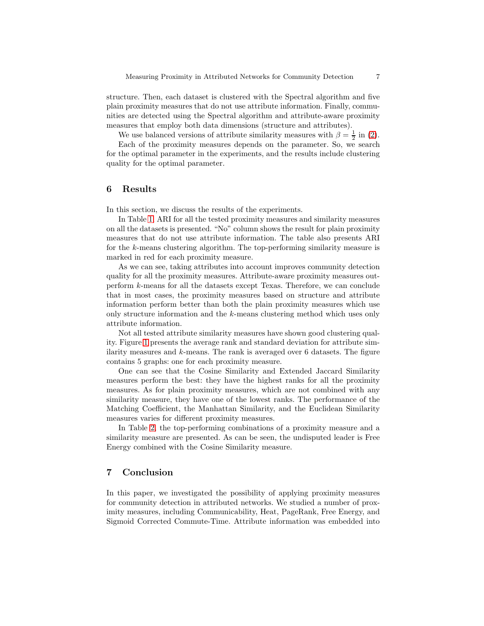structure. Then, each dataset is clustered with the Spectral algorithm and five plain proximity measures that do not use attribute information. Finally, communities are detected using the Spectral algorithm and attribute-aware proximity measures that employ both data dimensions (structure and attributes).

We use balanced versions of attribute similarity measures with  $\beta = \frac{1}{2}$  in [\(2\)](#page-4-0).

Each of the proximity measures depends on the parameter. So, we search for the optimal parameter in the experiments, and the results include clustering quality for the optimal parameter.

## 6 Results

In this section, we discuss the results of the experiments.

In Table [1,](#page-7-0) ARI for all the tested proximity measures and similarity measures on all the datasets is presented. "No" column shows the result for plain proximity measures that do not use attribute information. The table also presents ARI for the k-means clustering algorithm. The top-performing similarity measure is marked in red for each proximity measure.

As we can see, taking attributes into account improves community detection quality for all the proximity measures. Attribute-aware proximity measures outperform k-means for all the datasets except Texas. Therefore, we can conclude that in most cases, the proximity measures based on structure and attribute information perform better than both the plain proximity measures which use only structure information and the k-means clustering method which uses only attribute information.

Not all tested attribute similarity measures have shown good clustering quality. Figure [1](#page-8-0) presents the average rank and standard deviation for attribute similarity measures and  $k$ -means. The rank is averaged over 6 datasets. The figure contains 5 graphs: one for each proximity measure.

One can see that the Cosine Similarity and Extended Jaccard Similarity measures perform the best: they have the highest ranks for all the proximity measures. As for plain proximity measures, which are not combined with any similarity measure, they have one of the lowest ranks. The performance of the Matching Coefficient, the Manhattan Similarity, and the Euclidean Similarity measures varies for different proximity measures.

In Table [2,](#page-8-1) the top-performing combinations of a proximity measure and a similarity measure are presented. As can be seen, the undisputed leader is Free Energy combined with the Cosine Similarity measure.

## 7 Conclusion

In this paper, we investigated the possibility of applying proximity measures for community detection in attributed networks. We studied a number of proximity measures, including Communicability, Heat, PageRank, Free Energy, and Sigmoid Corrected Commute-Time. Attribute information was embedded into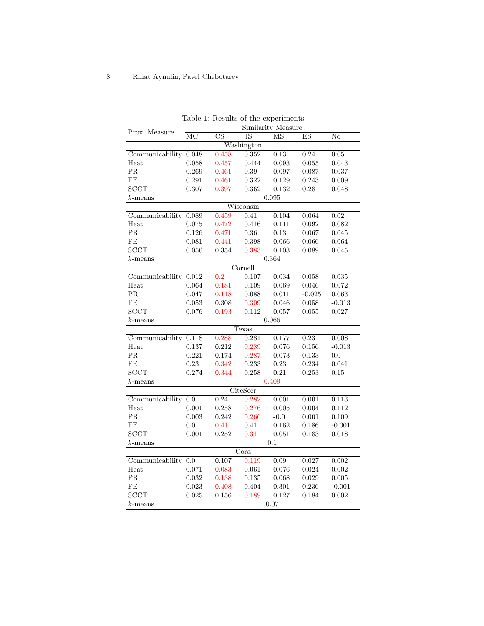<span id="page-7-0"></span>

| Prox. Measure         |             | Similarity Measure     |                        |        |             |          |  |  |
|-----------------------|-------------|------------------------|------------------------|--------|-------------|----------|--|--|
|                       | MC          | $\overline{\text{CS}}$ | $\overline{\text{JS}}$ | MS     | ES          | No       |  |  |
|                       |             |                        | Washington             |        |             |          |  |  |
| Communicability 0.048 |             | 0.458                  | 0.352                  | 0.13   | 0.24        | 0.05     |  |  |
| Heat                  | 0.058       | 0.457                  | 0.444                  | 0.093  | 0.055       | 0.043    |  |  |
| PR                    | 0.269       | 0.461                  | 0.39                   | 0.097  | 0.087       | 0.037    |  |  |
| FE                    | 0.291       | 0.461                  | 0.322                  | 0.129  | 0.243       | 0.009    |  |  |
| <b>SCCT</b>           | 0.307       | 0.397                  | $\,0.362\,$            | 0.132  | 0.28        | 0.048    |  |  |
| $k$ -means            |             |                        |                        | 0.095  |             |          |  |  |
| Wisconsin             |             |                        |                        |        |             |          |  |  |
| Communicability       | 0.089       | 0.459                  | 0.41                   | 0.104  | 0.064       | 0.02     |  |  |
| Heat                  | 0.075       | 0.472                  | $0.416\,$              | 0.111  | $\,0.092\,$ | 0.082    |  |  |
| PR                    | $0.126\,$   | 0.471                  | $0.36\,$               | 0.13   | 0.067       | 0.045    |  |  |
| FE                    | $\,0.081\,$ | 0.441                  | 0.398                  | 0.066  | 0.066       | 0.064    |  |  |
| SCCT                  | 0.056       | 0.354                  | 0.383                  | 0.103  | 0.089       | 0.045    |  |  |
| $k$ -means            |             |                        |                        | 0.364  |             |          |  |  |
| Cornell               |             |                        |                        |        |             |          |  |  |
| Communicability 0.012 |             | 0.2                    | 0.107                  | 0.034  | 0.058       | 0.035    |  |  |
| Heat                  | $\,0.064\,$ | 0.181                  | 0.109                  | 0.069  | 0.046       | 0.072    |  |  |
| PR                    | 0.047       | 0.118                  | 0.088                  | 0.011  | $-0.025$    | 0.063    |  |  |
| FE                    | 0.053       | 0.308                  | 0.309                  | 0.046  | 0.058       | $-0.013$ |  |  |
| <b>SCCT</b>           | 0.076       | 0.193                  | 0.112                  | 0.057  | 0.055       | 0.027    |  |  |
| $k$ -means            |             |                        |                        | 0.066  |             |          |  |  |
|                       |             |                        | Texas                  |        |             |          |  |  |
| Communicability 0.118 |             | 0.288                  | 0.281                  | 0.177  | 0.23        | 0.008    |  |  |
| Heat                  | 0.137       | 0.212                  | 0.289                  | 0.076  | 0.156       | $-0.013$ |  |  |
| PR                    | 0.221       | 0.174                  | 0.287                  | 0.073  | 0.133       | 0.0      |  |  |
| FE                    | 0.23        | 0.342                  | 0.233                  | 0.23   | 0.234       | 0.041    |  |  |
| <b>SCCT</b>           | 0.274       | 0.344                  | 0.258                  | 0.21   | 0.253       | 0.15     |  |  |
| $k$ -means            |             |                        |                        | 0.409  |             |          |  |  |
| CiteSeer              |             |                        |                        |        |             |          |  |  |
| Communicability       | 0.0         | 0.24                   | 0.282                  | 0.001  | 0.001       | 0.113    |  |  |
| Heat                  | 0.001       | 0.258                  | 0.276                  | 0.005  | 0.004       | 0.112    |  |  |
| PR                    | 0.003       | 0.242                  | 0.266                  | $-0.0$ | 0.001       | 0.109    |  |  |
| FE                    | 0.0         | 0.41                   | 0.41                   | 0.162  | 0.186       | $-0.001$ |  |  |
| <b>SCCT</b>           | 0.001       | 0.252                  | 0.31                   | 0.051  | 0.183       | 0.018    |  |  |
| $k$ -means            |             |                        |                        | 0.1    |             |          |  |  |
| Cora                  |             |                        |                        |        |             |          |  |  |
| Communicability       | 0.0         | 0.107                  | 0.119                  | 0.09   | 0.027       | 0.002    |  |  |
| Heat                  | 0.071       | 0.083                  | 0.061                  | 0.076  | 0.024       | 0.002    |  |  |
| PR                    | 0.032       | 0.138                  | 0.135                  | 0.068  | 0.029       | 0.005    |  |  |
| FE                    | 0.023       | 0.408                  | 0.404                  | 0.301  | 0.236       | $-0.001$ |  |  |
| <b>SCCT</b>           | 0.025       | 0.156                  | 0.189                  | 0.127  | 0.184       | 0.002    |  |  |
| $k$ -means            | 0.07        |                        |                        |        |             |          |  |  |

Table 1: Results of the experiments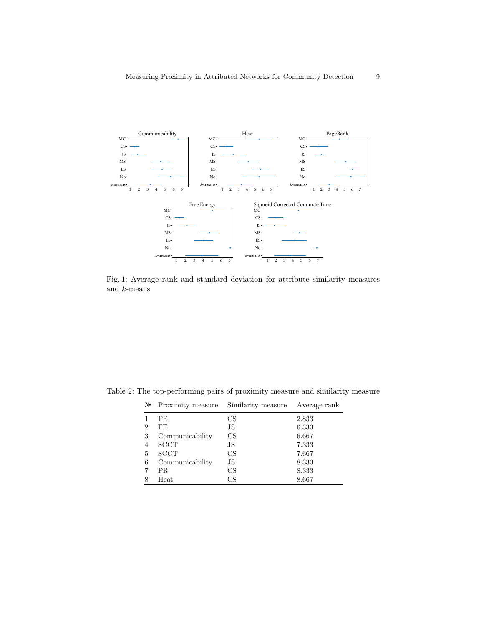<span id="page-8-0"></span>

Fig. 1: Average rank and standard deviation for attribute similarity measures and  $k$ -means

| Nº | Proximity measure | Similarity measure | Average rank |
|----|-------------------|--------------------|--------------|
|    | FE                | CS                 | 2.833        |
| 2  | FE.               | JS                 | 6.333        |
| 3  | Communicability   | CS                 | 6.667        |
| 4  | <b>SCCT</b>       | JS                 | 7.333        |
| 5  | <b>SCCT</b>       | CS                 | 7.667        |
| 6  | Communicability   | JS                 | 8.333        |
|    | РR                | CS                 | 8.333        |
| 8  | Heat              | CS                 | 8.667        |

<span id="page-8-1"></span>Table 2: The top-performing pairs of proximity measure and similarity measure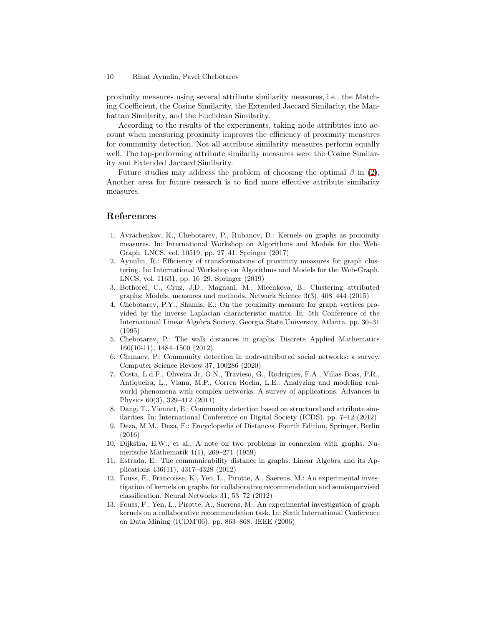proximity measures using several attribute similarity measures, i.e., the Matching Coefficient, the Cosine Similarity, the Extended Jaccard Similarity, the Manhattan Similarity, and the Euclidean Similarity.

According to the results of the experiments, taking node attributes into account when measuring proximity improves the efficiency of proximity measures for community detection. Not all attribute similarity measures perform equally well. The top-performing attribute similarity measures were the Cosine Similarity and Extended Jaccard Similarity.

Future studies may address the problem of choosing the optimal  $\beta$  in [\(2\)](#page-4-0). Another area for future research is to find more effective attribute similarity measures.

# <span id="page-9-2"></span>References

- 1. Avrachenkov, K., Chebotarev, P., Rubanov, D.: Kernels on graphs as proximity measures. In: International Workshop on Algorithms and Models for the Web-Graph. LNCS, vol. 10519, pp. 27–41. Springer (2017)
- <span id="page-9-9"></span>2. Aynulin, R.: Efficiency of transformations of proximity measures for graph clustering. In: International Workshop on Algorithms and Models for the Web-Graph. LNCS, vol. 11631, pp. 16–29. Springer (2019)
- <span id="page-9-3"></span>3. Bothorel, C., Cruz, J.D., Magnani, M., Micenkova, B.: Clustering attributed graphs: Models, measures and methods. Network Science 3(3), 408–444 (2015)
- <span id="page-9-7"></span>4. Chebotarev, P.Y., Shamis, E.: On the proximity measure for graph vertices provided by the inverse Laplacian characteristic matrix. In: 5th Conference of the International Linear Algebra Society, Georgia State University, Atlanta. pp. 30–31 (1995)
- <span id="page-9-6"></span>5. Chebotarev, P.: The walk distances in graphs. Discrete Applied Mathematics 160(10-11), 1484–1500 (2012)
- <span id="page-9-4"></span>6. Chunaev, P.: Community detection in node-attributed social networks: a survey. Computer Science Review 37, 100286 (2020)
- <span id="page-9-0"></span>7. Costa, L.d.F., Oliveira Jr, O.N., Travieso, G., Rodrigues, F.A., Villas Boas, P.R., Antiqueira, L., Viana, M.P., Correa Rocha, L.E.: Analyzing and modeling realworld phenomena with complex networks: A survey of applications. Advances in Physics 60(3), 329–412 (2011)
- <span id="page-9-12"></span>8. Dang, T., Viennet, E.: Community detection based on structural and attribute similarities. In: International Conference on Digital Society (ICDS). pp. 7–12 (2012)
- <span id="page-9-1"></span>9. Deza, M.M., Deza, E.: Encyclopedia of Distances. Fourth Edition, Springer, Berlin (2016)
- <span id="page-9-5"></span>10. Dijkstra, E.W., et al.: A note on two problems in connexion with graphs. Numerische Mathematik 1(1), 269–271 (1959)
- <span id="page-9-10"></span>11. Estrada, E.: The communicability distance in graphs. Linear Algebra and its Applications 436(11), 4317–4328 (2012)
- <span id="page-9-8"></span>12. Fouss, F., Francoisse, K., Yen, L., Pirotte, A., Saerens, M.: An experimental investigation of kernels on graphs for collaborative recommendation and semisupervised classification. Neural Networks 31, 53–72 (2012)
- <span id="page-9-11"></span>13. Fouss, F., Yen, L., Pirotte, A., Saerens, M.: An experimental investigation of graph kernels on a collaborative recommendation task. In: Sixth International Conference on Data Mining (ICDM'06). pp. 863–868. IEEE (2006)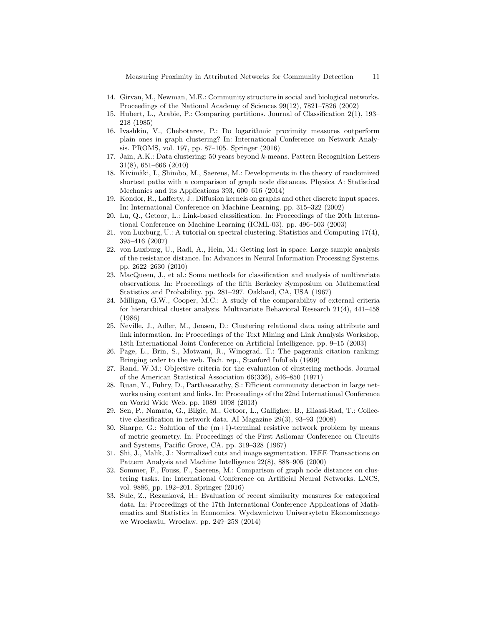Measuring Proximity in Attributed Networks for Community Detection 11

- <span id="page-10-14"></span><span id="page-10-3"></span>14. Girvan, M., Newman, M.E.: Community structure in social and biological networks. Proceedings of the National Academy of Sciences 99(12), 7821–7826 (2002)
- 15. Hubert, L., Arabie, P.: Comparing partitions. Journal of Classification 2(1), 193– 218 (1985)
- <span id="page-10-2"></span>16. Ivashkin, V., Chebotarev, P.: Do logarithmic proximity measures outperform plain ones in graph clustering? In: International Conference on Network Analysis. PROMS, vol. 197, pp. 87–105. Springer (2016)
- <span id="page-10-4"></span>17. Jain, A.K.: Data clustering: 50 years beyond k-means. Pattern Recognition Letters 31(8), 651–666 (2010)
- <span id="page-10-12"></span>18. Kivimäki, I., Shimbo, M., Saerens, M.: Developments in the theory of randomized shortest paths with a comparison of graph node distances. Physica A: Statistical Mechanics and its Applications 393, 600–616 (2014)
- <span id="page-10-10"></span>19. Kondor, R., Lafferty, J.: Diffusion kernels on graphs and other discrete input spaces. In: International Conference on Machine Learning. pp. 315–322 (2002)
- <span id="page-10-18"></span>20. Lu, Q., Getoor, L.: Link-based classification. In: Proceedings of the 20th International Conference on Machine Learning (ICML-03). pp. 496–503 (2003)
- <span id="page-10-13"></span><span id="page-10-9"></span>21. von Luxburg, U.: A tutorial on spectral clustering. Statistics and Computing 17(4), 395–416 (2007)
- 22. von Luxburg, U., Radl, A., Hein, M.: Getting lost in space: Large sample analysis of the resistance distance. In: Advances in Neural Information Processing Systems. pp. 2622–2630 (2010)
- <span id="page-10-7"></span>23. MacQueen, J., et al.: Some methods for classification and analysis of multivariate observations. In: Proceedings of the fifth Berkeley Symposium on Mathematical Statistics and Probability. pp. 281–297. Oakland, CA, USA (1967)
- <span id="page-10-15"></span>24. Milligan, G.W., Cooper, M.C.: A study of the comparability of external criteria for hierarchical cluster analysis. Multivariate Behavioral Research 21(4), 441–458 (1986)
- <span id="page-10-6"></span>25. Neville, J., Adler, M., Jensen, D.: Clustering relational data using attribute and link information. In: Proceedings of the Text Mining and Link Analysis Workshop, 18th International Joint Conference on Artificial Intelligence. pp. 9–15 (2003)
- <span id="page-10-11"></span>26. Page, L., Brin, S., Motwani, R., Winograd, T.: The pagerank citation ranking: Bringing order to the web. Tech. rep., Stanford InfoLab (1999)
- <span id="page-10-16"></span>27. Rand, W.M.: Objective criteria for the evaluation of clustering methods. Journal of the American Statistical Association 66(336), 846–850 (1971)
- <span id="page-10-5"></span>28. Ruan, Y., Fuhry, D., Parthasarathy, S.: Efficient community detection in large networks using content and links. In: Proceedings of the 22nd International Conference on World Wide Web. pp. 1089–1098 (2013)
- <span id="page-10-19"></span>29. Sen, P., Namata, G., Bilgic, M., Getoor, L., Galligher, B., Eliassi-Rad, T.: Collective classification in network data. AI Magazine 29(3), 93–93 (2008)
- <span id="page-10-0"></span>30. Sharpe, G.: Solution of the  $(m+1)$ -terminal resistive network problem by means of metric geometry. In: Proceedings of the First Asilomar Conference on Circuits and Systems, Pacific Grove, CA. pp. 319–328 (1967)
- <span id="page-10-8"></span>31. Shi, J., Malik, J.: Normalized cuts and image segmentation. IEEE Transactions on Pattern Analysis and Machine Intelligence 22(8), 888–905 (2000)
- <span id="page-10-1"></span>32. Sommer, F., Fouss, F., Saerens, M.: Comparison of graph node distances on clustering tasks. In: International Conference on Artificial Neural Networks. LNCS, vol. 9886, pp. 192–201. Springer (2016)
- <span id="page-10-17"></span>33. Sulc, Z., Rezanková, H.: Evaluation of recent similarity measures for categorical data. In: Proceedings of the 17th International Conference Applications of Mathematics and Statistics in Economics. Wydawnictwo Uniwersytetu Ekonomicznego we Wrocławiu, Wroclaw. pp.  $249-258$  (2014)